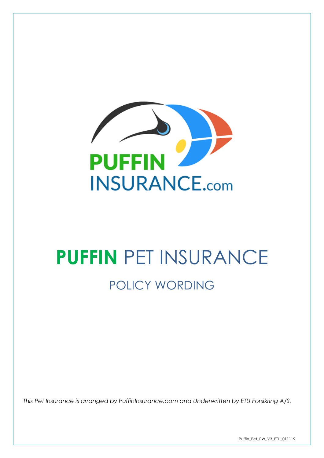

# **PUFFIN** PET INSURANCE POLICY WORDING

*This Pet Insurance is arranged by PuffinInsurance.com and Underwritten by ETU Forsikring A/S.*

Puffin\_Pet\_PW\_V3\_ETU\_011119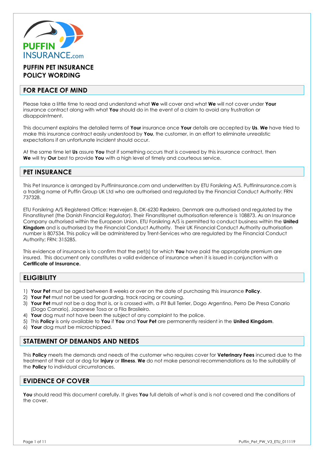

# **PUFFIN PET INSURANCE POLICY WORDING**

## **FOR PEACE OF MIND**

Please take a little time to read and understand what **We** will cover and what **We** will not cover under **Your**  insurance contract along with what **You** should do in the event of a claim to avoid any frustration or disappointment.

This document explains the detailed terms of **Your** insurance once **Your** details are accepted by **Us**. **We** have tried to make this insurance contract easily understood by **You**, the customer, in an effort to eliminate unrealistic expectations if an unfortunate incident should occur.

At the same time let **Us** assure **You** that if something occurs that is covered by this insurance contract, then **We** will try **Our** best to provide **You** with a high level of timely and courteous service.

# **PET INSURANCE**

This Pet Insurance is arranged by PuffinInsurance.com and underwritten by ETU Forsikring A/S. PuffinInsurance.com is a trading name of Puffin Group UK Ltd who are authorised and regulated by the Financial Conduct Authority: FRN 737328.

ETU Forsikring A/S Registered Office: Hærvejen 8, DK-6230 Rødekro, Denmark are authorised and regulated by the Finanstilsynet (the Danish Financial Regulator). Their Finanstilsynet authorisation reference is 108873. As an Insurance Company authorised within the European Union, ETU Forsikring A/S is permitted to conduct business within the **United Kingdom** and is authorised by the Financial Conduct Authority. Their UK Financial Conduct Authority authorisation number is 807534. This policy will be administered by Trent-Services who are regulated by the Financial Conduct Authority; FRN: 315285.

This evidence of insurance is to confirm that the pet(s) for which **You** have paid the appropriate premium are insured. This document only constitutes a valid evidence of insurance when it is issued in conjunction with a **Certificate of Insurance.**

# **ELIGIBILITY**

- 1) **Your Pet** must be aged between 8 weeks or over on the date of purchasing this insurance **Policy**.
- 2) **Your Pet** must not be used for guarding, track racing or coursing.
- 3) **Your Pet** must not be a dog that is, or is crossed with, a Pit Bull Terrier, Dogo Argentino, Perro De Presa Canario (Dogo Canario), Japanese Tosa or a Fila Brasileiro.
- 4) **Your** dog must not have been the subject of any complaint to the police.
- 5) This **Policy** is only available to **You** if **You** and **Your Pet** are permanently resident in the **United Kingdom**.
- 6) **Your** dog must be microchipped.

# **STATEMENT OF DEMANDS AND NEEDS**

This **Policy** meets the demands and needs of the customer who requires cover for **Veterinary Fees** incurred due to the treatment of their cat or dog for **Injury** or **Illness**. **We** do not make personal recommendations as to the suitability of the **Policy** to individual circumstances.

# **EVIDENCE OF COVER**

**You** should read this document carefully. It gives **You** full details of what is and is not covered and the conditions of the cover.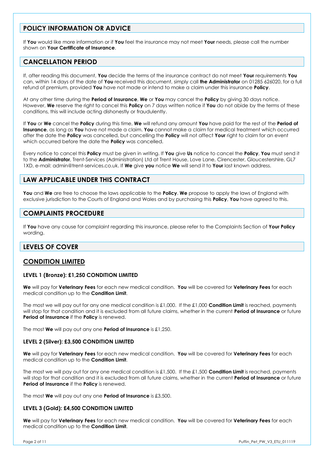# **POLICY INFORMATION OR ADVICE**

If **You** would like more information or if **You** feel the insurance may not meet **Your** needs, please call the number shown on **Your Certificate of Insurance**.

# **CANCELLATION PERIOD**

If, after reading this document, **You** decide the terms of the insurance contract do not meet **Your** requirements **You** can, within 14 days of the date of **You** received this document, simply call **the Administrator** on 01285 626020, for a full refund of premium, provided **You** have not made or intend to make a claim under this insurance **Policy**.

At any other time during the **Period of Insurance**, **We** or **You** may cancel the **Policy** by giving 30 days notice. However, **We** reserve the right to cancel this **Policy** on 7 days written notice if **You** do not abide by the terms of these conditions, this will include acting dishonestly or fraudulently.

If **You** or **We** cancel the **Policy** during this time, **We** will refund any amount **You** have paid for the rest of the **Period of Insurance**, as long as **You** have not made a claim. **You** cannot make a claim for medical treatment which occurred after the date the **Policy** was cancelled, but cancelling the **Policy** will not affect **Your** right to claim for an event which occurred before the date the **Policy** was cancelled.

Every notice to cancel this **Policy** must be given in writing. If **You** give **Us** notice to cancel the **Policy**, **You** must send it to the **Administrator**, Trent-Services (Administration) Ltd at Trent House, Love Lane, Cirencester, Gloucestershire, GL7 1XD, e-mail: admin@trent-services.co.uk. If **We** give **you** notice **We** will send it to **Your** last known address.

# **LAW APPLICABLE UNDER THIS CONTRACT**

**You** and **We** are free to choose the laws applicable to the **Policy**. **We** propose to apply the laws of England with exclusive jurisdiction to the Courts of England and Wales and by purchasing this **Policy**, **You** have agreed to this.

# **COMPLAINTS PROCEDURE**

If **You** have any cause for complaint regarding this insurance, please refer to the Complaints Section of **Your Policy** wording.

# **LEVELS OF COVER**

# **CONDITION LIMITED**

#### **LEVEL 1 (Bronze): £1,250 CONDITION LIMITED**

**We** will pay for **Veterinary Fees** for each new medical condition. **You** will be covered for **Veterinary Fees** for each medical condition up to the **Condition Limit**.

The most we will pay out for any one medical condition is £1,000. If the £1,000 **Condition Limit** is reached, payments will stop for that condition and it is excluded from all future claims, whether in the current **Period of Insurance** or future **Period of Insurance** if the **Policy** is renewed.

The most **We** will pay out any one **Period of Insurance** is £1,250.

#### **LEVEL 2 (Silver): £3,500 CONDITION LIMITED**

**We** will pay for **Veterinary Fees** for each new medical condition. **You** will be covered for **Veterinary Fees** for each medical condition up to the **Condition Limit**.

The most we will pay out for any one medical condition is £1,500. If the £1,500 **Condition Limit** is reached, payments will stop for that condition and it is excluded from all future claims, whether in the current **Period of Insurance** or future **Period of Insurance** if the **Policy** is renewed.

The most **We** will pay out any one **Period of Insurance** is £3,500.

#### **LEVEL 3 (Gold): £4,500 CONDITION LIMITED**

**We** will pay for **Veterinary Fees** for each new medical condition. **You** will be covered for **Veterinary Fees** for each medical condition up to the **Condition Limit**.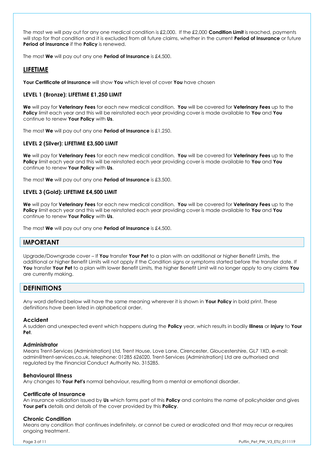The most we will pay out for any one medical condition is £2,000. If the £2,000 **Condition Limit** is reached, payments will stop for that condition and it is excluded from all future claims, whether in the current **Period of Insurance** or future **Period of Insurance** if the **Policy** is renewed.

The most **We** will pay out any one **Period of Insurance** is £4,500.

## **LIFETIME**

**Your Certificate of Insurance** will show **You** which level of cover **You** have chosen

#### **LEVEL 1 (Bronze): LIFETIME £1,250 LIMIT**

**We** will pay for **Veterinary Fees** for each new medical condition. **You** will be covered for **Veterinary Fees** up to the **Policy** limit each year and this will be reinstated each year providing cover is made available to **You** and **You** continue to renew **Your Policy** with **Us**.

The most **We** will pay out any one **Period of Insurance** is £1,250.

#### **LEVEL 2 (Silver): LIFETIME £3,500 LIMIT**

**We** will pay for **Veterinary Fees** for each new medical condition. **You** will be covered for **Veterinary Fees** up to the **Policy** limit each year and this will be reinstated each year providing cover is made available to **You** and **You** continue to renew **Your Policy** with **Us**.

The most **We** will pay out any one **Period of Insurance** is £3,500.

#### **LEVEL 3 (Gold): LIFETIME £4,500 LIMIT**

**We** will pay for **Veterinary Fees** for each new medical condition. **You** will be covered for **Veterinary Fees** up to the **Policy** limit each year and this will be reinstated each year providing cover is made available to **You** and **You** continue to renew **Your Policy** with **Us**.

The most **We** will pay out any one **Period of Insurance** is £4,500.

## **IMPORTANT**

Upgrade/Downgrade cover – If **You** transfer **Your Pet** to a plan with an additional or higher Benefit Limits, the additional or higher Benefit Limits will not apply if the Condition signs or symptoms started before the transfer date. If **You** transfer **Your Pet** to a plan with lower Benefit Limits, the higher Benefit Limit will no longer apply to any claims **You** are currently making.

## **DEFINITIONS**

Any word defined below will have the same meaning wherever it is shown in **Your Policy** in bold print. These definitions have been listed in alphabetical order.

#### **Accident**

A sudden and unexpected event which happens during the **Policy** year, which results in bodily **Illness** or **Injury** to **Your Pet**.

#### **Administrator**

Means Trent-Services (Administration) Ltd, Trent House, Love Lane, Cirencester, Gloucestershire, GL7 1XD, e-mail: admin@trent-services.co.uk, telephone: 01285 626020. Trent-Services (Administration) Ltd are authorised and regulated by the Financial Conduct Authority No. 315285.

#### **Behavioural Illness**

Any changes to **Your Pet's** normal behaviour, resulting from a mental or emotional disorder.

#### **Certificate of Insurance**

An insurance validation issued by **Us** which forms part of this **Policy** and contains the name of policyholder and gives **Your pet's** details and details of the cover provided by this **Policy**.

#### **Chronic Condition**

Means any condition that continues indefinitely, or cannot be cured or eradicated and that may recur or requires ongoing treatment.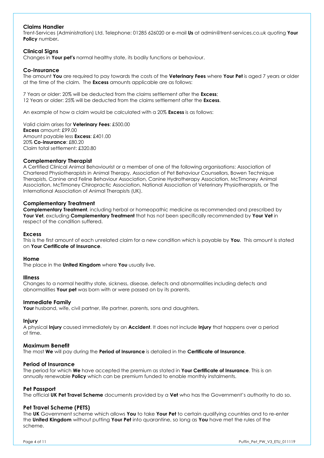#### **Claims Handler**

Trent-Services (Administration) Ltd. Telephone: 01285 626020 or e-mail **Us** at admin@trent-services.co.uk quoting **Your Policy** number**.** 

#### **Clinical Signs**

Changes in **Your pet's** normal healthy state, its bodily functions or behaviour.

#### **Co-Insurance**

The amount **You** are required to pay towards the costs of the **Veterinary Fees** where **Your Pet** is aged 7 years or older at the time of the claim. The **Excess** amounts applicable are as follows:

7 Years or older: 20% will be deducted from the claims settlement after the **Excess**; 12 Years or older: 25% will be deducted from the claims settlement after the **Excess**.

An example of how a claim would be calculated with a 20% **Excess** is as follows:

Valid claim arises for **Veterinary Fees**: £500.00 **Excess** amount: £99.00 Amount payable less **Excess**: £401.00 20% **Co-insurance**: £80.20 Claim total settlement: £320.80

#### **Complementary Therapist**

A Certified Clinical Animal Behaviourist or a member of one of the following organisations: Association of Chartered Physiotherapists in Animal Therapy, Association of Pet Behaviour Counsellors, Bowen Technique Therapists, Canine and Feline Behaviour Association, Canine Hydrotherapy Association, McTimoney Animal Association, McTimoney Chiropractic Association, National Association of Veterinary Physiotherapists, or The International Association of Animal Therapists (UK).

#### **Complementary Treatment**

**Complementary Treatment**, including herbal or homeopathic medicine as recommended and prescribed by **Your Vet**, excluding **Complementary Treatment** that has not been specifically recommended by **Your Vet** in respect of the condition suffered.

#### **Excess**

This is the first amount of each unrelated claim for a new condition which is payable by **You**. This amount is stated on **Your Certificate of Insurance**.

#### **Home**

The place in the **United Kingdom** where **You** usually live.

#### **Illness**

Changes to a normal healthy state, sickness, disease, defects and abnormalities including defects and abnormalities **Your pet** was born with or were passed on by its parents.

#### **Immediate Family**

**Your** husband, wife, civil partner, life partner, parents, sons and daughters.

#### **Injury**

A physical **Injury** caused immediately by an **Accident**. It does not include **Injury** that happens over a period of time.

#### **Maximum Benefit**

The most **We** will pay during the **Period of Insurance** is detailed in the **Certificate of Insurance**.

#### **Period of Insurance**

The period for which **We** have accepted the premium as stated in **Your Certificate of Insurance**. This is an annually renewable **Policy** which can be premium funded to enable monthly instalments.

#### **Pet Passport**

The official **UK Pet Travel Scheme** documents provided by a **Vet** who has the Government's authority to do so.

#### **Pet Travel Scheme (PETS)**

The **UK** Government scheme which allows **You** to take **Your Pet** to certain qualifying countries and to re-enter the **United Kingdom** without putting **Your Pet** into quarantine, so long as **You** have met the rules of the scheme.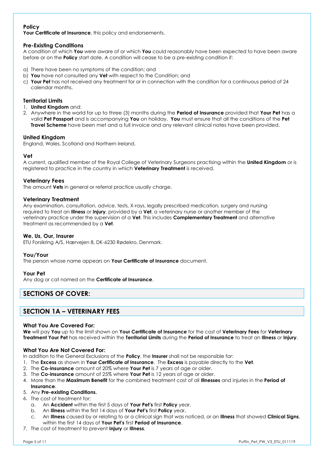## **Policy**

**Your Certificate of Insurance**, this policy and endorsements.

#### **Pre-Existing Conditions**

A condition of which **You** were aware of or which **You** could reasonably have been expected to have been aware before or on the **Policy** start date. A condition will cease to be a pre-existing condition if:

- a) There have been no symptoms of the condition; and
- b) **You** have not consulted any **Vet** with respect to the Condition; and
- c) **Your Pet** has not received any treatment for or in connection with the condition for a continuous period of 24 calendar months.

#### **Territorial Limits**

- 1. **United Kingdom** and:
- 2. Anywhere in the world for up to three (3) months during the **Period of Insurance** provided that **Your Pet** has a valid **Pet Passport** and is accompanying **You** on holiday. **You** must ensure that all the conditions of the **Pet Travel Scheme** have been met and a full invoice and any relevant clinical notes have been provided.

#### **United Kingdom**

England, Wales, Scotland and Northern Ireland.

#### **Vet**

A current, qualified member of the Royal College of Veterinary Surgeons practising within the **United Kingdom** or is registered to practice in the country in which **Veterinary Treatment** is received.

#### **Veterinary Fees**

The amount **Vets** in general or referral practice usually charge.

#### **Veterinary Treatment**

Any examination, consultation, advice, tests, X-rays, legally prescribed medication, surgery and nursing required to treat an **Illness** or **Injury**, provided by a **Vet**, a veterinary nurse or another member of the veterinary practice under the supervision of a **Vet**. This includes **Complementary Treatment** and alternative treatment as recommended by a **Vet**.

#### **We, Us, Our, Insurer**

ETU Forsikring A/S, Hærvejen 8, DK-6230 Rødekro, Denmark.

#### **You/Your**

The person whose name appears on **Your Certificate of Insurance** document.

#### **Your Pet**

Any dog or cat named on the **Certificate of Insurance**.

# **SECTIONS OF COVER:**

# **SECTION 1A – VETERINARY FEES**

#### **What You Are Covered For:**

**We** will pay **You** up to the limit shown on **Your Certificate of Insurance** for the cost of **Veterinary Fees** for **Veterinary Treatment Your Pet** has received within the **Territorial Limits** during the **Period of Insurance** to treat an **Illness** or **Injury**.

#### **What You Are Not Covered For:**

In addition to the General Exclusions of the **Policy**, the **Insurer** shall not be responsible for:

- 1. The **Excess** as shown in **Your Certificate of Insurance**. The **Excess** is payable directly to the **Vet**.
- 2. The **Co-insurance** amount of 20% where **Your Pet** is 7 years of age or older.
- 3. The **Co-insurance** amount of 25% where **Your Pet** is 12 years of age or older.
- 4. More than the **Maximum Benefit** for the combined treatment cost of all **Illnesses** and injuries in the **Period of Insurance**.

#### 5. Any **Pre-existing Conditions.**

- 6. The cost of treatment for:
	- a. An **Accident** within the first 5 days of **Your Pet's** first **Policy** year,
	- b. An **Illness** within the first 14 days of **Your Pet's** first **Policy** year,
	- c. An **Illness** caused by or relating to or a clinical sign that was noticed, or an **Illness** that showed **Clinical Signs**, within the first 14 days of **Your Pet's** first **Period of Insurance**.
- 7. The cost of treatment to prevent **Injury** or **Illness**.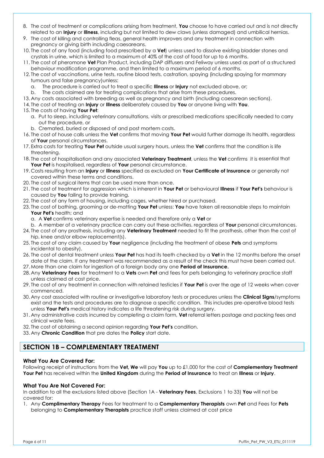- 8. The cost of treatment or complications arising from treatment, **You** choose to have carried out and is not directly related to an **Injury** or **Illness**, including but not limited to dew claws (unless damaged) and umbilical hernias.
- 9. The cost of killing and controlling fleas, general health improvers and any treatment in connection with pregnancy or giving birth including caesareans.
- 10. The cost of any food (including food prescribed by a **Vet**) unless used to dissolve existing bladder stones and crystals in urine, which is limited to a maximum of 40% of the cost of food for up to 6 months.
- 11. The cost of pheromone **Vet** Plan Product, including DAP diffusers and Feliway unless used as part of a structured behaviour modification programme, and then limited to a maximum period of 6 months.
- 12. The cost of vaccinations, urine tests, routine blood tests, castration, spaying (including spaying for mammary tumours and false pregnancy)unless:
	- a. The procedure is carried out to treat a specific **Illness** or **Injury** not excluded above, or;
	- b. The costs claimed are for treating complications that arise from these procedures.
- 13. Any costs associated with breeding as well as pregnancy and birth (including caesarean sections).
- 14. The cost of treating an **Injury** or **Illness** deliberately caused by **You** or anyone living with **You**.
- 15. The costs of having **Your Pet**:
	- a. Put to sleep, including veterinary consultations, visits or prescribed medications specifically needed to carry out the procedure, or
	- b. Cremated, buried or disposed of and post mortem costs.
- 16. The cost of house calls unless the **Vet** confirms that moving **Your Pet** would further damage its health, regardless of **Your** personal circumstances.
- 17. Extra costs for treating **Your Pet** outside usual surgery hours, unless the **Vet** confirms that the condition is life threatening.
- 18. The cost of hospitalisation and any associated **Veterinary Treatment**, unless the **Vet** confirms it is essential that **Your Pet** is hospitalised, regardless of **Your** personal circumstance.
- 19. Costs resulting from an **Injury** or **Illness** specified as excluded on **Your Certificate of Insurance** or generally not covered within these terms and conditions.
- 20. The cost of surgical items that can be used more than once.
- 21. The cost of treatment for aggression which is inherent in **Your Pet** or behavioural **Illness** if **Your Pet's** behaviour is caused by **You** failing to provide training.
- 22. The cost of any form of housing, including cages, whether hired or purchased.
- 23. The cost of bathing, grooming or de-matting **Your Pet** unless: **You** have taken all reasonable steps to maintain **Your Pet's** health; and
	- a. A **Vet** confirms veterinary expertise is needed and therefore only a **Vet** or
	- b. A member of a veterinary practice can carry out these activities, regardless of **Your** personal circumstances.
- 24. The cost of any prosthesis, including any **Veterinary Treatment** needed to fit the prosthesis, other than the cost of hip, knee and/or elbow replacement(s).
- 25. The cost of any claim caused by **Your** negligence (including the treatment of obese **Pets** and symptoms incidental to obesity).
- 26. The cost of dental treatment unless **Your Pet** has had its teeth checked by a **Vet** in the 12 months before the onset date of the claim. If any treatment was recommended as a result of the check this must have been carried out.
- 27. More than one claim for ingestion of a foreign body any one **Period of Insurance.**
- 28. Any **Veterinary Fees** for treatment to a **Vets** own **Pet** and fees for pets belonging to veterinary practice staff unless claimed at cost price.
- 29. The cost of any treatment in connection with retained testicles if **Your Pet** is over the age of 12 weeks when cover commenced.
- 30. Any cost associated with routine or investigative laboratory tests or procedures unless the **Clinical Signs**/symptoms exist and the tests and procedures are to diagnose a specific condition. This includes pre-operative blood tests unless **Your Pet's** medical history indicates a life threatening risk during surgery.
- 31. Any administrative costs incurred by completing a claim form, **Vet** referral letters postage and packing fees and clinical waste fees.
- 32. The cost of obtaining a second opinion regarding **Your Pet's** condition.
- 33. Any **Chronic Condition** that pre dates the **Policy** start date.

# **SECTION 1B – COMPLEMENTARY TREATMENT**

#### **What You Are Covered For:**

Following receipt of instructions from the **Vet, We** will pay **You** up to £1,000 for the cost of **Complementary Treatment Your Pet** has received within the **United Kingdom** during the **Period of Insurance** to treat an **Illness** or **Injury**.

#### **What You Are Not Covered For:**

In addition to all the exclusions listed above (Section 1A - **Veterinary Fees**, Exclusions 1 to 33) **You** will not be covered for:

1. Any **Complimentary Therapy** Fees for treatment to a **Complementary Therapists** own **Pet** and Fees for **Pets** belonging to **Complementary Therapists** practice staff unless claimed at cost price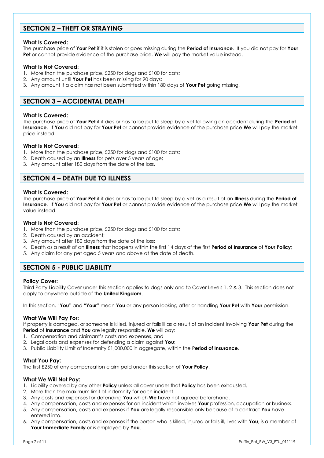# **SECTION 2 – THEFT OR STRAYING**

#### **What Is Covered:**

The purchase price of **Your Pet** if it is stolen or goes missing during the **Period of Insurance**. If you did not pay for **Your Pet** or cannot provide evidence of the purchase price, **We** will pay the market value instead.

#### **What Is Not Covered:**

- 1. More than the purchase price, £250 for dogs and £100 for cats;
- 2. Any amount until **Your Pet** has been missing for 90 days;
- 3. Any amount if a claim has not been submitted within 180 days of **Your Pet** going missing.

# **SECTION 3 – ACCIDENTAL DEATH**

#### **What Is Covered:**

The purchase price of **Your Pet** if it dies or has to be put to sleep by a vet following an accident during the **Period of Insurance**. If **You** did not pay for **Your Pet** or cannot provide evidence of the purchase price **We** will pay the market price instead.

#### **What Is Not Covered:**

- 1. More than the purchase price, £250 for dogs and £100 for cats;
- 2. Death caused by an **Illness** for pets over 5 years of age;
- 3. Any amount after 180 days from the date of the loss.

## **SECTION 4 – DEATH DUE TO ILLNESS**

#### **What Is Covered:**

The purchase price of **Your Pet** if it dies or has to be put to sleep by a vet as a result of an **Illness** during the **Period of Insurance**. If **You** did not pay for **Your Pet** or cannot provide evidence of the purchase price **We** will pay the market value instead.

#### **What Is Not Covered:**

- 1. More than the purchase price, £250 for dogs and £100 for cats;
- 2. Death caused by an accident;
- 3. Any amount after 180 days from the date of the loss;
- 4. Death as a result of an **Illness** that happens within the first 14 days of the first **Period of Insurance** of **Your Policy**;
- 5. Any claim for any pet aged 5 years and above at the date of death.

## **SECTION 5 - PUBLIC LIABILITY**

#### **Policy Cover:**

Third Party Liability Cover under this section applies to dogs only and to Cover Levels 1, 2 & 3. This section does not apply to anywhere outside of the **United Kingdom**.

In this section, "**You**" and "**Your**" mean **You** or any person looking after or handling **Your Pet** with **Your** permission.

#### **What We Will Pay For:**

If property is damaged, or someone is killed, injured or falls ill as a result of an incident involving **Your Pet** during the **Period** of **Insurance** and **You** are legally responsible, **We** will pay:

- 1. Compensation and claimant's costs and expenses, and
- 2. Legal costs and expenses for defending a claim against **You**;
- 3. Public Liability Limit of Indemnity £1,000,000 in aggregate, within the **Period of Insurance**.

#### **What You Pay:**

The first £250 of any compensation claim paid under this section of **Your Policy**.

#### **What We Will Not Pay:**

- 1. Liability covered by any other **Policy** unless all cover under that **Policy** has been exhausted.
- 2. More than the maximum limit of indemnity for each incident.
- 3. Any costs and expenses for defending **You** which **We** have not agreed beforehand.
- 4. Any compensation, costs and expenses for an incident which involves **Your** profession, occupation or business.
- 5. Any compensation, costs and expenses if **You** are legally responsible only because of a contract **You** have entered into.
- 6. Any compensation, costs and expenses if the person who is killed, injured or falls ill, lives with **You**, is a member of **Your Immediate Family** or is employed by **You**.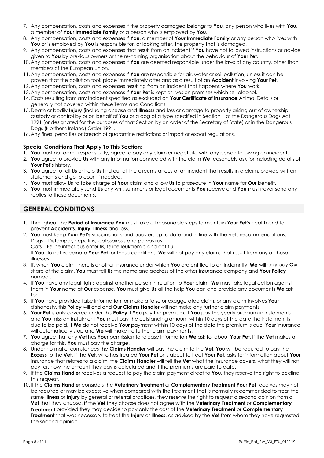- 7. Any compensation, costs and expenses if the property damaged belongs to **You**, any person who lives with **You**, a member of **Your Immediate Family** or a person who is employed by **You**.
- 8. Any compensation, costs and expenses if **You**, a member of **Your Immediate Family** or any person who lives with **You** or is employed by **You** is responsible for, or looking after, the property that is damaged.
- 9. Any compensation, costs and expenses that result from an incident if **You** have not followed instructions or advice given to **You** by previous owners or the re-homing organisation about the behaviour of **Your Pet**.
- 10. Any compensation, costs and expenses if **You** are deemed responsible under the laws of any country, other than members of the European Union.
- 11. Any compensation, costs and expenses if **You** are responsible for air, water or soil pollution, unless it can be proven that the pollution took place immediately after and as a result of an **Accident** involving **Your Pet**.
- 12. Any compensation, costs and expenses resulting from an incident that happens where **You** work.
- 13. Any compensation, costs and expenses if **Your Pet** is kept or lives on premises which sell alcohol.
- 14. Costs resulting from any incident specified as excluded on **Your Certificate of Insurance** Animal Details or generally not covered within these Terms and Conditions.
- 15. Death or bodily **Injury** (including disease and **Illness**) and loss or damage to property arising out of ownership, custody or control by or on behalf of **You** or a dog of a type specified in Section 1 of the Dangerous Dogs Act 1991 (or designated for the purposes of that Section by an order of the Secretary of State) or in the Dangerous Dogs (Northern Ireland) Order 1991.
- 16. Any fines, penalties or breach of quarantine restrictions or import or export regulations.

#### **Special Conditions That Apply To This Section:**

- 1. **You** must not admit responsibility, agree to pay any claim or negotiate with any person following an incident.
- 2. **You** agree to provide **Us** with any information connected with the claim **We** reasonably ask for including details of **Your Pet's** history.
- 3. **You** agree to tell **Us** or help **Us** find out all the circumstances of an incident that results in a claim, provide written statements and go to court if needed.
- 4. **You** must allow **Us** to take charge of **Your** claim and allow **Us** to prosecute in **Your** name for **Our** benefit.
- 5. **You** must immediately send **Us** any writ, summons or legal documents **You** receive and **You** must never send any replies to these documents.

## **GENERAL CONDITIONS**

- 1. Throughout the **Period of Insurance You** must take all reasonable steps to maintain **Your Pet's** health and to prevent **Accidents**, **Injury**, **Illness** and loss.
- 2. **You** must keep **Your Pet's** vaccinations and boosters up to date and in line with the vets recommendations: Dogs – Distemper, hepatitis, leptospirosis and parvovirus Cats – Feline infectious enteritis, feline leukaemia and cat flu

If **You** do not vaccinate **Your Pet** for these conditions, **We** will not pay any claims that result from any of these illnesses.

- 3. If, when **You** claim, there is another insurance under which **You** are entitled to an indemnity; **We** will only pay **Our**  share of the claim. **You** must tell **Us** the name and address of the other insurance company and **Your Policy** number.
- 4. If **You** have any legal rights against another person in relation to **Your** claim, **We** may take legal action against them in **Your** name at **Our** expense. **You** must give **Us** all the help **You** can and provide any documents **We** ask for.
- 5. If **You** have provided false information, or make a false or exaggerated claim, or any claim involves **Your**  dishonesty, this **Policy** will end and **Our Claims Handler** will not make any further claim payments.
- 6. **Your Pet** is only covered under this **Policy** if **You** pay the premium. If **You** pay the yearly premium in instalments and **You** miss an instalment **You** must pay the outstanding amount within 10 days of the date the instalment is due to be paid. If **We** do not receive **Your** payment within 10 days of the date the premium is due, **Your** insurance will automatically stop and **We** will make no further claim payments.
- 7. **You** agree that any **Vet** has **Your** permission to release information **We** ask for about **Your Pet**. If the **Vet** makes a charge for this, **You** must pay the charge.
- 8. Under normal circumstances the **Claims Handler** will pay the claim to the **Vet**. **You** will be required to pay the **Excess** to the **Vet**. If the **Vet**, who has treated **Your Pet** or is about to treat **Your Pet**, asks for information about **Your**  insurance that relates to a claim, the **Claims Handler** will tell the **Vet** what the insurance covers, what they will not pay for, how the amount they pay is calculated and if the premiums are paid to date.
- 9. If the **Claims Handler** receives a request to pay the claim payment direct to **You**, they reserve the right to decline this request.
- 10. If the **Claims Handler** considers the **Veterinary Treatment** or **Complementary Treatment Your Pet** receives may not be required or may be excessive when compared with the treatment that is normally recommended to treat the same **Illness** or **Injury** by general or referral practices, they reserve the right to request a second opinion from a **Vet** that they choose. If the **Vet** they choose does not agree with the **Veterinary Treatment** or **Complementary Treatment** provided they may decide to pay only the cost of the **Veterinary Treatment** or **Complementary Treatment** that was necessary to treat the **Injury** or **Illness**, as advised by the **Vet** from whom they have requested the second opinion.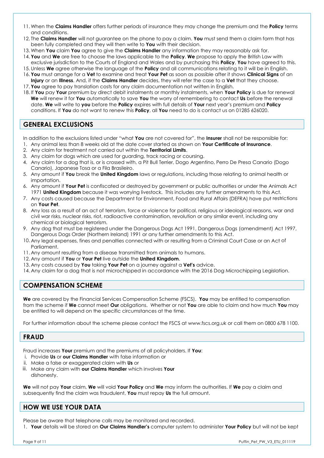- 11. When the **Claims Handler** offers further periods of insurance they may change the premium and the **Policy** terms and conditions.
- 12. The **Claims Handler** will not guarantee on the phone to pay a claim. **You** must send them a claim form that has been fully completed and they will then write to **You** with their decision.
- 13. When **You** claim **You** agree to give the **Claims Handler** any information they may reasonably ask for.
- 14. **You** and **We** are free to choose the laws applicable to the **Policy**. **We** propose to apply the British Law with exclusive jurisdiction to the Courts of England and Wales and by purchasing this **Policy**, **You** have agreed to this.
- 15. Unless **We** agree otherwise the language of the **Policy** and all communications relating to it will be in English.
- 16. **You** must arrange for a **Vet** to examine and treat **Your Pet** as soon as possible after it shows **Clinical Signs** of an **Injury** or an **Illness**. And, if the **Claims Handler** decides, they will refer the case to a **Vet** that they choose.
- 17. **You** agree to pay translation costs for any claim documentation not written in English.
- 18. If **You** pay **Your** premium by direct debit instalments or monthly instalments, when **Your Policy** is due for renewal **We** will renew it for **You** automatically to save **You** the worry of remembering to contact **Us** before the renewal date. **We** will write to **you** before the **Policy** expires with full details of **Your** next year's premium and **Policy**  conditions. If **You** do not want to renew this **Policy**, all **You** need to do is contact us on 01285 626020.

# **GENERAL EXCLUSIONS**

In addition to the exclusions listed under "what **You** are not covered for", the **Insurer** shall not be responsible for:

- 1. Any animal less than 8 weeks old at the date cover started as shown on **Your Certificate of Insurance**.
- 2. Any claim for treatment not carried out within the **Territorial Limits**.
- 3. Any claim for dogs which are used for guarding, track racing or coursing.
- 4. Any claim for a dog that is, or is crossed with, a Pit Bull Terrier, Dogo Argentino, Perro De Presa Canario (Dogo Canario), Japanese Tosa or a Fila Brasileiro.
- 5. Any amount if **You** break the **United Kingdom** laws or regulations, including those relating to animal health or importation.
- 6. Any amount if **Your Pet** is confiscated or destroyed by government or public authorities or under the Animals Act 1971 **United Kingdom** because it was worrying livestock. This includes any further amendments to this Act.
- 7. Any costs caused because the Department for Environment, Food and Rural Affairs (DEFRA) have put restrictions on **Your Pet**.
- 8. Any loss as a result of an act of terrorism, force or violence for political, religious or ideological reasons, war and civil war risks, nuclear risks, riot, radioactive contamination, revolution or any similar event, including any chemical or biological terrorism.
- 9. Any dog that must be registered under the Dangerous Dogs Act 1991, Dangerous Dogs (amendment) Act 1997, Dangerous Dogs Order (Northern Ireland) 1991 or any further amendments to this Act.
- 10. Any legal expenses, fines and penalties connected with or resulting from a Criminal Court Case or an Act of Parliament.
- 11. Any amount resulting from a disease transmitted from animals to humans.
- 12. Any amount if **You** or **Your Pet** live outside the **United Kingdom**.
- 13. Any costs caused by **You** taking **Your Pet** on a journey against a **Vet's** advice.
- 14. Any claim for a dog that is not microchipped in accordance with the 2016 Dog Microchipping Legislation.

# **COMPENSATION SCHEME**

**We** are covered by the Financial Services Compensation Scheme (FSCS). **You** may be entitled to compensation from the scheme if **We** cannot meet **Our** obligations. Whether or not **You** are able to claim and how much **You** may be entitled to will depend on the specific circumstances at the time.

For further information about the scheme please contact the FSCS at [www.fscs.org.uk](http://www.fscs.org.uk/) or call them on 0800 678 1100.

# **FRAUD**

Fraud increases **Your** premium and the premiums of all policyholders. If **You**:

- i. Provide **Us** or **our Claims Handler** with false information or
- ii. Make a false or exaggerated claim with **Us** or
- iii. Make any claim with **our Claims Handler** which involves **Your** dishonesty.

**We** will not pay **Your** claim, **We** will void **Your Policy** and **We** may inform the authorities. If **We** pay a claim and subsequently find the claim was fraudulent, **You** must repay **Us** the full amount.

# **HOW WE USE YOUR DATA**

Please be aware that telephone calls may be monitored and recorded.

1. **Your** details will be stored on **Our Claims Handler's** computer system to administer **Your Policy** but will not be kept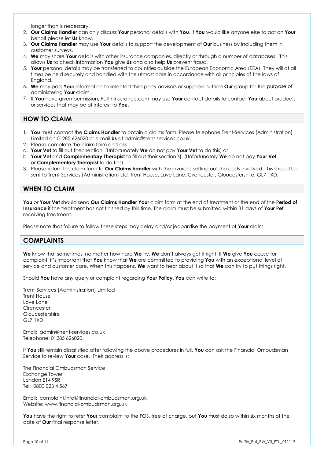longer than is necessary.

- 2. **Our Claims Handler** can only discuss **Your** personal details with **You**. If **You** would like anyone else to act on **Your**  behalf please let **Us** know.
- 3. **Our Claims Handler** may use **Your** details to support the development of **Our** business by including them in customer surveys.
- 4. **We** may share **Your** details with other insurance companies, directly or through a number of databases. This allows **Us** to check information **You** give **Us** and also help **Us** prevent fraud.
- 5. **Your** personal details may be transferred to countries outside the European Economic Area (EEA). They will at all times be held securely and handled with the utmost care in accordance with all principles of the laws of England.
- 6. **We** may pass **Your** information to selected third party advisors or suppliers outside **Our** group for the purpose of administering **Your** claim.
- 7. If **You** have given permission, PuffinInsurance.com may use **Your** contact details to contact **You** about products or services that may be of interest to **You**.

# **HOW TO CLAIM**

- 1. **You** must contact the **Claims Handler** to obtain a claims form. Please telephone Trent-Services (Administration) Limited on 01285 626020 or e-mail **Us** at admin@trent-services.co.uk.
- 2. Please complete the claim form and ask:
- a. **Your Vet** to fill out their section. (Unfortunately **We** do not pay **Your Vet** to do this) or
- b. **Your Vet** and **Complementary Therapist** to fill out their section(s). (Unfortunately **We** do not pay **Your Vet**  or **Complementary Therapist** to do this).
- 3. Please return the claim form to **Our Claims handler** with the invoices setting out the costs involved. This should be sent to Trent-Services (Administration) Ltd, Trent House, Love Lane, Cirencester, Gloucestershire, GL7 1XD.

# **WHEN TO CLAIM**

**You** or **Your Vet** should send **Our Claims Handler Your** claim form at the end of treatment or the end of the **Period of Insurance** if the treatment has not finished by this time. The claim must be submitted within 31 days of **Your Pet**  receiving treatment.

Please note that failure to follow these steps may delay and/or jeopardise the payment of **Your** claim.

# **COMPLAINTS**

**We** know that sometimes, no matter how hard **We** try, **We** don't always get it right. If **We** give **You** cause for complaint, it's important that **You** know that **We** are committed to providing **You** with an exceptional level of service and customer care. When this happens, **We** want to hear about it so that **We** can try to put things right.

Should **You** have any query or complaint regarding **Your Policy**, **You** can write to:

Trent-Services (Administration) Limited Trent House Love Lane **Cirencester** Gloucestershire GL7 1XD

Email: admin@trent-services.co.uk Telephone: 01285 626020.

If **You** still remain dissatisfied after following the above procedures in full, **You** can ask the Financial Ombudsman Service to review **Your** case. Their address is:

The Financial Ombudsman Service Exchange Tower London E14 9SR Tel: 0800 023 4 567

Email: [complaint.info@financial-ombudsman.org.uk](mailto:complaint.info@financial-ombudsman.org.uk) Website: www.financial-ombudsman.org.uk

**You** have the right to refer **Your** complaint to the FOS, free of charge, but **You** must do so within six months of the date of **Our** final response letter.